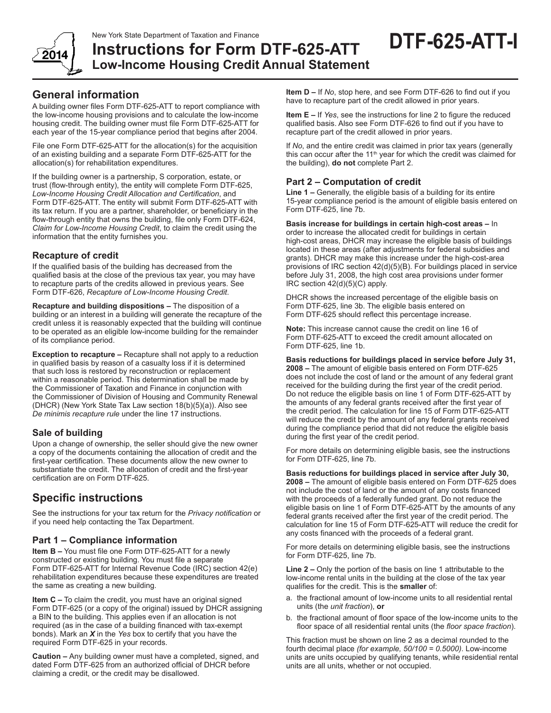

**DTF-625-ATT-I**

**Low-Income Housing Credit Annual Statement**

**Instructions for Form DTF-625-ATT**

# **General information**

A building owner files Form DTF-625-ATT to report compliance with the low-income housing provisions and to calculate the low-income housing credit. The building owner must file Form DTF-625-ATT for each year of the 15-year compliance period that begins after 2004.

File one Form DTF-625-ATT for the allocation(s) for the acquisition of an existing building and a separate Form DTF-625-ATT for the allocation(s) for rehabilitation expenditures.

If the building owner is a partnership, S corporation, estate, or trust (flow-through entity), the entity will complete Form DTF-625, *Low‑Income Housing Credit Allocation and Certification*, and Form DTF‑625‑ATT. The entity will submit Form DTF-625-ATT with its tax return. If you are a partner, shareholder, or beneficiary in the flow-through entity that owns the building, file only Form DTF-624, *Claim for Low-Income Housing Credit*, to claim the credit using the information that the entity furnishes you.

#### **Recapture of credit**

If the qualified basis of the building has decreased from the qualified basis at the close of the previous tax year, you may have to recapture parts of the credits allowed in previous years. See Form DTF-626, *Recapture of Low-Income Housing Credit*.

**Recapture and building dispositions –** The disposition of a building or an interest in a building will generate the recapture of the credit unless it is reasonably expected that the building will continue to be operated as an eligible low-income building for the remainder of its compliance period.

**Exception to recapture –** Recapture shall not apply to a reduction in qualified basis by reason of a casualty loss if it is determined that such loss is restored by reconstruction or replacement within a reasonable period. This determination shall be made by the Commissioner of Taxation and Finance in conjunction with the Commissioner of Division of Housing and Community Renewal (DHCR) (New York State Tax Law section 18(b)(5)(a)). Also see *De minimis recapture rule* under the line 17 instructions.

### **Sale of building**

Upon a change of ownership, the seller should give the new owner a copy of the documents containing the allocation of credit and the first-year certification. These documents allow the new owner to substantiate the credit. The allocation of credit and the first-year certification are on Form DTF-625.

# **Specific instructions**

See the instructions for your tax return for the *Privacy notification* or if you need help contacting the Tax Department.

### **Part 1 – Compliance information**

**Item B –** You must file one Form DTF-625-ATT for a newly constructed or existing building. You must file a separate Form DTF-625-ATT for Internal Revenue Code (IRC) section 42(e) rehabilitation expenditures because these expenditures are treated the same as creating a new building.

**Item C –** To claim the credit, you must have an original signed Form DTF-625 (or a copy of the original) issued by DHCR assigning a BIN to the building. This applies even if an allocation is not required (as in the case of a building financed with tax-exempt bonds). Mark an *X* in the *Yes* box to certify that you have the required Form DTF-625 in your records.

**Caution –** Any building owner must have a completed, signed, and dated Form DTF-625 from an authorized official of DHCR before claiming a credit, or the credit may be disallowed.

**Item D –** If *No*, stop here, and see Form DTF-626 to find out if you have to recapture part of the credit allowed in prior years.

**Item E –** If *Yes*, see the instructions for line 2 to figure the reduced qualified basis. Also see Form DTF-626 to find out if you have to recapture part of the credit allowed in prior years.

If *No*, and the entire credit was claimed in prior tax years (generally this can occur after the 11<sup>th</sup> year for which the credit was claimed for the building), **do not** complete Part 2.

#### **Part 2 – Computation of credit**

**Line 1 –** Generally, the eligible basis of a building for its entire 15-year compliance period is the amount of eligible basis entered on Form DTF-625, line 7b.

**Basis increase for buildings in certain high-cost areas –** In order to increase the allocated credit for buildings in certain high-cost areas, DHCR may increase the eligible basis of buildings located in these areas (after adjustments for federal subsidies and grants). DHCR may make this increase under the high-cost-area provisions of IRC section 42(d)(5)(B). For buildings placed in service before July 31, 2008, the high cost area provisions under former IRC section 42(d)(5)(C) apply.

DHCR shows the increased percentage of the eligible basis on Form DTF-625, line 3b. The eligible basis entered on Form DTF-625 should reflect this percentage increase.

**Note:** This increase cannot cause the credit on line 16 of Form DTF-625-ATT to exceed the credit amount allocated on Form DTF-625, line 1b.

**Basis reductions for buildings placed in service before July 31, 2008 –** The amount of eligible basis entered on Form DTF-625 does not include the cost of land or the amount of any federal grant received for the building during the first year of the credit period. Do not reduce the eligible basis on line 1 of Form DTF-625-ATT by the amounts of any federal grants received after the first year of the credit period. The calculation for line 15 of Form DTF-625-ATT will reduce the credit by the amount of any federal grants received during the compliance period that did not reduce the eligible basis during the first year of the credit period.

For more details on determining eligible basis, see the instructions for Form DTF-625, line 7b.

**Basis reductions for buildings placed in service after July 30, 2008 –** The amount of eligible basis entered on Form DTF-625 does not include the cost of land or the amount of any costs financed with the proceeds of a federally funded grant. Do not reduce the eligible basis on line 1 of Form DTF-625-ATT by the amounts of any federal grants received after the first year of the credit period. The calculation for line 15 of Form DTF-625-ATT will reduce the credit for any costs financed with the proceeds of a federal grant.

For more details on determining eligible basis, see the instructions for Form DTF-625, line 7b.

**Line 2 –** Only the portion of the basis on line 1 attributable to the low-income rental units in the building at the close of the tax year qualifies for the credit. This is the **smaller** of:

- a. the fractional amount of low-income units to all residential rental units (the *unit fraction*), **or**
- b. the fractional amount of floor space of the low-income units to the floor space of all residential rental units (the *floor space fraction*).

This fraction must be shown on line 2 as a decimal rounded to the fourth decimal place *(for example, 50/100 = 0.5000)*. Low-income units are units occupied by qualifying tenants, while residential rental units are all units, whether or not occupied.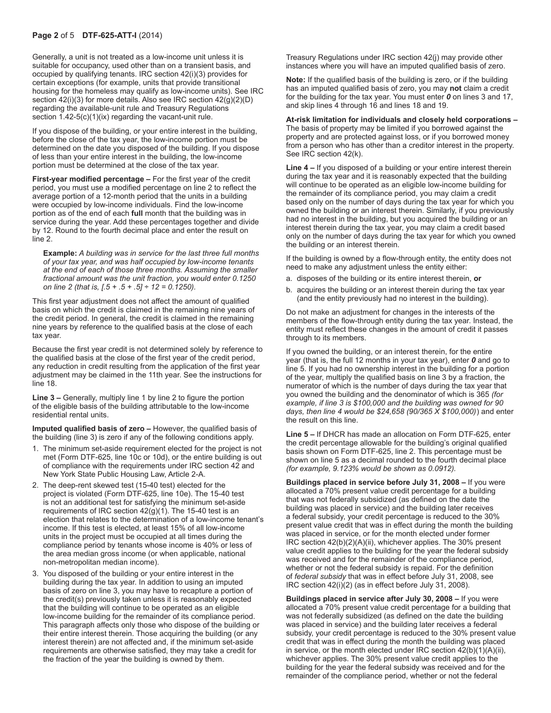#### **Page 2** of 5 **DTF-625-ATT-I** (2014)

Generally, a unit is not treated as a low-income unit unless it is suitable for occupancy, used other than on a transient basis, and occupied by qualifying tenants. IRC section 42(i)(3) provides for certain exceptions (for example, units that provide transitional housing for the homeless may qualify as low-income units). See IRC section 42(i)(3) for more details. Also see IRC section 42(g)(2)(D) regarding the available‑unit rule and Treasury Regulations section  $1.42-5(c)(1)(ix)$  regarding the vacant-unit rule.

If you dispose of the building, or your entire interest in the building, before the close of the tax year, the low-income portion must be determined on the date you disposed of the building. If you dispose of less than your entire interest in the building, the low-income portion must be determined at the close of the tax year.

**First-year modified percentage –** For the first year of the credit period, you must use a modified percentage on line 2 to reflect the average portion of a 12-month period that the units in a building were occupied by low-income individuals. Find the low-income portion as of the end of each **full** month that the building was in service during the year. Add these percentages together and divide by 12. Round to the fourth decimal place and enter the result on line 2.

**Example:** *A building was in service for the last three full months of your tax year, and was half occupied by low-income tenants at the end of each of those three months. Assuming the smaller fractional amount was the unit fraction, you would enter 0.1250 on line 2 (that is, [.5 + .5 + .5] ÷ 12 = 0.1250).*

This first year adjustment does not affect the amount of qualified basis on which the credit is claimed in the remaining nine years of the credit period. In general, the credit is claimed in the remaining nine years by reference to the qualified basis at the close of each tax year.

Because the first year credit is not determined solely by reference to the qualified basis at the close of the first year of the credit period, any reduction in credit resulting from the application of the first year adjustment may be claimed in the 11th year. See the instructions for line 18.

**Line 3 –** Generally, multiply line 1 by line 2 to figure the portion of the eligible basis of the building attributable to the low-income residential rental units.

**Imputed qualified basis of zero –** However, the qualified basis of the building (line 3) is zero if any of the following conditions apply.

- 1. The minimum set-aside requirement elected for the project is not met (Form DTF-625, line 10c or 10d), or the entire building is out of compliance with the requirements under IRC section 42 and New York State Public Housing Law, Article 2-A.
- 2. The deep-rent skewed test (15-40 test) elected for the project is violated (Form DTF-625, line 10e). The 15-40 test is not an additional test for satisfying the minimum set-aside requirements of IRC section  $42(g)(1)$ . The 15-40 test is an election that relates to the determination of a low-income tenant's income. If this test is elected, at least 15% of all low-income units in the project must be occupied at all times during the compliance period by tenants whose income is 40% or less of the area median gross income (or when applicable, national non-metropolitan median income).
- 3. You disposed of the building or your entire interest in the building during the tax year. In addition to using an imputed basis of zero on line 3, you may have to recapture a portion of the credit(s) previously taken unless it is reasonably expected that the building will continue to be operated as an eligible low-income building for the remainder of its compliance period. This paragraph affects only those who dispose of the building or their entire interest therein. Those acquiring the building (or any interest therein) are not affected and, if the minimum set-aside requirements are otherwise satisfied, they may take a credit for the fraction of the year the building is owned by them.

Treasury Regulations under IRC section 42(j) may provide other instances where you will have an imputed qualified basis of zero.

**Note:** If the qualified basis of the building is zero, or if the building has an imputed qualified basis of zero, you may **not** claim a credit for the building for the tax year. You must enter *0* on lines 3 and 17, and skip lines 4 through 16 and lines 18 and 19.

**At-risk limitation for individuals and closely held corporations –** The basis of property may be limited if you borrowed against the property and are protected against loss, or if you borrowed money from a person who has other than a creditor interest in the property. See IRC section 42(k).

**Line 4 –** If you disposed of a building or your entire interest therein during the tax year and it is reasonably expected that the building will continue to be operated as an eligible low-income building for the remainder of its compliance period, you may claim a credit based only on the number of days during the tax year for which you owned the building or an interest therein. Similarly, if you previously had no interest in the building, but you acquired the building or an interest therein during the tax year, you may claim a credit based only on the number of days during the tax year for which you owned the building or an interest therein.

If the building is owned by a flow-through entity, the entity does not need to make any adjustment unless the entity either:

- a. disposes of the building or its entire interest therein, **or**
- b. acquires the building or an interest therein during the tax year (and the entity previously had no interest in the building).

Do not make an adjustment for changes in the interests of the members of the flow-through entity during the tax year. Instead, the entity must reflect these changes in the amount of credit it passes through to its members.

If you owned the building, or an interest therein, for the entire year (that is, the full 12 months in your tax year), enter *0* and go to line 5. If you had no ownership interest in the building for a portion of the year, multiply the qualified basis on line 3 by a fraction, the numerator of which is the number of days during the tax year that you owned the building and the denominator of which is 365 *(for example, if line 3 is \$100,000 and the building was owned for 90 days, then line 4 would be \$24,658 (90/365 X \$100,000)*) and enter the result on this line.

**Line 5 –** If DHCR has made an allocation on Form DTF-625, enter the credit percentage allowable for the building's original qualified basis shown on Form DTF-625, line 2. This percentage must be shown on line 5 as a decimal rounded to the fourth decimal place *(for example, 9.123% would be shown as 0.0912).*

**Buildings placed in service before July 31, 2008 –** If you were allocated a 70% present value credit percentage for a building that was not federally subsidized (as defined on the date the building was placed in service) and the building later receives a federal subsidy, your credit percentage is reduced to the 30% present value credit that was in effect during the month the building was placed in service, or for the month elected under former IRC section 42(b)(2)(A)(ii), whichever applies. The 30% present value credit applies to the building for the year the federal subsidy was received and for the remainder of the compliance period, whether or not the federal subsidy is repaid. For the definition of *federal subsidy* that was in effect before July 31, 2008, see IRC section 42(i)(2) (as in effect before July 31, 2008).

**Buildings placed in service after July 30, 2008 –** If you were allocated a 70% present value credit percentage for a building that was not federally subsidized (as defined on the date the building was placed in service) and the building later receives a federal subsidy, your credit percentage is reduced to the 30% present value credit that was in effect during the month the building was placed in service, or the month elected under IRC section 42(b)(1)(A)(ii), whichever applies. The 30% present value credit applies to the building for the year the federal subsidy was received and for the remainder of the compliance period, whether or not the federal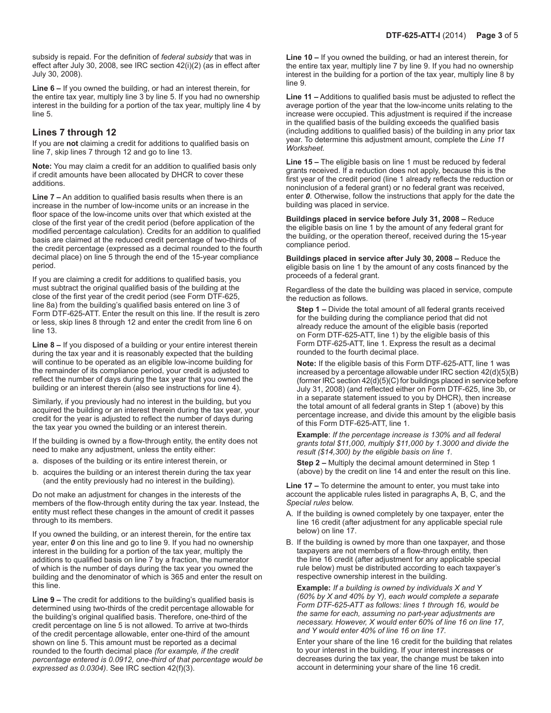subsidy is repaid. For the definition of *federal subsidy* that was in effect after July 30, 2008, see IRC section 42(i)(2) (as in effect after July 30, 2008).

**Line 6 –** If you owned the building, or had an interest therein, for the entire tax year, multiply line 3 by line 5. If you had no ownership interest in the building for a portion of the tax year, multiply line 4 by line 5.

#### **Lines 7 through 12**

If you are **not** claiming a credit for additions to qualified basis on line 7, skip lines 7 through 12 and go to line 13.

**Note:** You may claim a credit for an addition to qualified basis only if credit amounts have been allocated by DHCR to cover these additions.

**Line 7 –** An addition to qualified basis results when there is an increase in the number of low-income units or an increase in the floor space of the low-income units over that which existed at the close of the first year of the credit period (before application of the modified percentage calculation). Credits for an addition to qualified basis are claimed at the reduced credit percentage of two-thirds of the credit percentage (expressed as a decimal rounded to the fourth decimal place) on line 5 through the end of the 15-year compliance period.

If you are claiming a credit for additions to qualified basis, you must subtract the original qualified basis of the building at the close of the first year of the credit period (see Form DTF-625, line 8a) from the building's qualified basis entered on line 3 of Form DTF-625-ATT. Enter the result on this line. If the result is zero or less, skip lines 8 through 12 and enter the credit from line 6 on line 13.

**Line 8 –** If you disposed of a building or your entire interest therein during the tax year and it is reasonably expected that the building will continue to be operated as an eligible low-income building for the remainder of its compliance period, your credit is adjusted to reflect the number of days during the tax year that you owned the building or an interest therein (also see instructions for line 4).

Similarly, if you previously had no interest in the building, but you acquired the building or an interest therein during the tax year, your credit for the year is adjusted to reflect the number of days during the tax year you owned the building or an interest therein.

If the building is owned by a flow-through entity, the entity does not need to make any adjustment, unless the entity either:

- a. disposes of the building or its entire interest therein, or
- b. acquires the building or an interest therein during the tax year (and the entity previously had no interest in the building).

Do not make an adjustment for changes in the interests of the members of the flow-through entity during the tax year. Instead, the entity must reflect these changes in the amount of credit it passes through to its members.

If you owned the building, or an interest therein, for the entire tax year, enter *0* on this line and go to line 9. If you had no ownership interest in the building for a portion of the tax year, multiply the additions to qualified basis on line 7 by a fraction, the numerator of which is the number of days during the tax year you owned the building and the denominator of which is 365 and enter the result on this line.

**Line 9 –** The credit for additions to the building's qualified basis is determined using two-thirds of the credit percentage allowable for the building's original qualified basis. Therefore, one-third of the credit percentage on line 5 is not allowed. To arrive at two-thirds of the credit percentage allowable, enter one‑third of the amount shown on line 5. This amount must be reported as a decimal rounded to the fourth decimal place *(for example, if the credit percentage entered is 0.0912, one-third of that percentage would be expressed as 0.0304)*. See IRC section 42(f)(3).

**Line 10 –** If you owned the building, or had an interest therein, for the entire tax year, multiply line 7 by line 9. If you had no ownership interest in the building for a portion of the tax year, multiply line 8 by line 9.

**Line 11 –** Additions to qualified basis must be adjusted to reflect the average portion of the year that the low-income units relating to the increase were occupied. This adjustment is required if the increase in the qualified basis of the building exceeds the qualified basis (including additions to qualified basis) of the building in any prior tax year. To determine this adjustment amount, complete the *Line 11 Worksheet.*

**Line 15 –** The eligible basis on line 1 must be reduced by federal grants received. If a reduction does not apply, because this is the first year of the credit period (line 1 already reflects the reduction or noninclusion of a federal grant) or no federal grant was received, enter *0*. Otherwise, follow the instructions that apply for the date the building was placed in service.

**Buildings placed in service before July 31, 2008 –** Reduce the eligible basis on line 1 by the amount of any federal grant for the building, or the operation thereof, received during the 15-year compliance period.

**Buildings placed in service after July 30, 2008 –** Reduce the eligible basis on line 1 by the amount of any costs financed by the proceeds of a federal grant.

Regardless of the date the building was placed in service, compute the reduction as follows.

**Step 1 –** Divide the total amount of all federal grants received for the building during the compliance period that did not already reduce the amount of the eligible basis (reported on Form DTF-625-ATT, line 1) by the eligible basis of this Form DTF-625-ATT, line 1. Express the result as a decimal rounded to the fourth decimal place.

**Note:** If the eligible basis of this Form DTF-625-ATT, line 1 was increased by a percentage allowable under IRC section 42(d)(5)(B) (former IRC section  $42(d)(5)(C)$  for buildings placed in service before July 31, 2008) (and reflected either on Form DTF-625, line 3b, or in a separate statement issued to you by DHCR), then increase the total amount of all federal grants in Step 1 (above) by this percentage increase, and divide this amount by the eligible basis of this Form DTF‑625‑ATT, line 1.

**Example**: *If the percentage increase is 130% and all federal grants total \$11,000, multiply \$11,000 by 1.3000 and divide the result (\$14,300) by the eligible basis on line 1.*

**Step 2 –** Multiply the decimal amount determined in Step 1 (above) by the credit on line 14 and enter the result on this line.

**Line 17 –** To determine the amount to enter, you must take into account the applicable rules listed in paragraphs A, B, C, and the *Special rules* below.

- A. If the building is owned completely by one taxpayer, enter the line 16 credit (after adjustment for any applicable special rule below) on line 17.
- B. If the building is owned by more than one taxpayer, and those taxpayers are not members of a flow-through entity, then the line 16 credit (after adjustment for any applicable special rule below) must be distributed according to each taxpayer's respective ownership interest in the building.

**Example:** *If a building is owned by individuals X and Y (60% by X and 40% by Y), each would complete a separate Form DTF-625-ATT as follows: lines 1 through 16, would be the same for each, assuming no part-year adjustments are necessary. However, X would enter 60% of line 16 on line 17, and Y would enter 40% of line 16 on line 17.*

Enter your share of the line 16 credit for the building that relates to your interest in the building. If your interest increases or decreases during the tax year, the change must be taken into account in determining your share of the line 16 credit.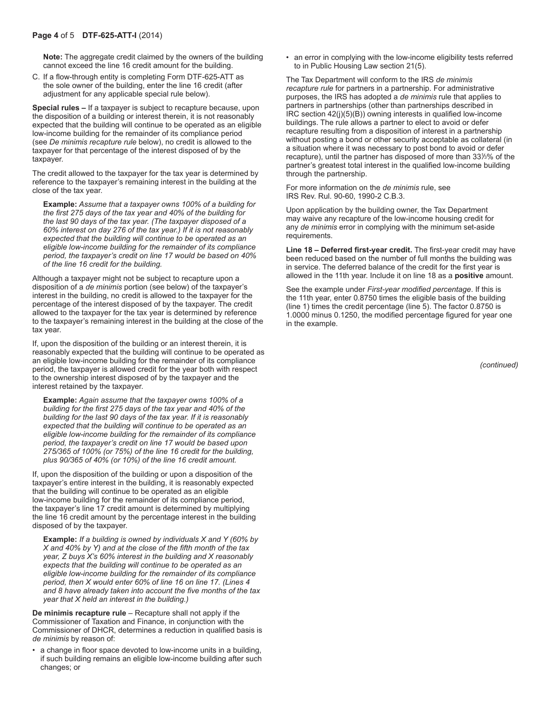**Note:** The aggregate credit claimed by the owners of the building cannot exceed the line 16 credit amount for the building.

C. If a flow-through entity is completing Form DTF‑625‑ATT as the sole owner of the building, enter the line 16 credit (after adjustment for any applicable special rule below).

**Special rules –** If a taxpayer is subject to recapture because, upon the disposition of a building or interest therein, it is not reasonably expected that the building will continue to be operated as an eligible low-income building for the remainder of its compliance period (see *De minimis recapture rule* below), no credit is allowed to the taxpayer for that percentage of the interest disposed of by the taxpayer.

The credit allowed to the taxpayer for the tax year is determined by reference to the taxpayer's remaining interest in the building at the close of the tax year.

**Example:** *Assume that a taxpayer owns 100% of a building for the first 275 days of the tax year and 40% of the building for the last 90 days of the tax year. (The taxpayer disposed of a 60% interest on day 276 of the tax year.) If it is not reasonably expected that the building will continue to be operated as an eligible low-income building for the remainder of its compliance period, the taxpayer's credit on line 17 would be based on 40% of the line 16 credit for the building.*

Although a taxpayer might not be subject to recapture upon a disposition of a *de minimis* portion (see below) of the taxpayer's interest in the building, no credit is allowed to the taxpayer for the percentage of the interest disposed of by the taxpayer. The credit allowed to the taxpayer for the tax year is determined by reference to the taxpayer's remaining interest in the building at the close of the tax year.

If, upon the disposition of the building or an interest therein, it is reasonably expected that the building will continue to be operated as an eligible low-income building for the remainder of its compliance period, the taxpayer is allowed credit for the year both with respect to the ownership interest disposed of by the taxpayer and the interest retained by the taxpayer.

**Example:** *Again assume that the taxpayer owns 100% of a building for the first 275 days of the tax year and 40% of the building for the last 90 days of the tax year. If it is reasonably expected that the building will continue to be operated as an eligible low-income building for the remainder of its compliance period, the taxpayer's credit on line 17 would be based upon 275/365 of 100% (or 75%) of the line 16 credit for the building, plus 90/365 of 40% (or 10%) of the line 16 credit amount.*

If, upon the disposition of the building or upon a disposition of the taxpayer's entire interest in the building, it is reasonably expected that the building will continue to be operated as an eligible low-income building for the remainder of its compliance period, the taxpayer's line 17 credit amount is determined by multiplying the line 16 credit amount by the percentage interest in the building disposed of by the taxpayer.

**Example:** *If a building is owned by individuals X and Y (60% by X and 40% by Y) and at the close of the fifth month of the tax year, Z buys X's 60% interest in the building and X reasonably expects that the building will continue to be operated as an eligible low-income building for the remainder of its compliance period, then X would enter 60% of line 16 on line 17. (Lines 4 and 8 have already taken into account the five months of the tax year that X held an interest in the building.)*

**De minimis recapture rule** – Recapture shall not apply if the Commissioner of Taxation and Finance, in conjunction with the Commissioner of DHCR, determines a reduction in qualified basis is *de minimis* by reason of:

• a change in floor space devoted to low-income units in a building, if such building remains an eligible low-income building after such changes; or

• an error in complying with the low-income eligibility tests referred to in Public Housing Law section 21(5).

The Tax Department will conform to the IRS *de minimis recapture rule* for partners in a partnership. For administrative purposes, the IRS has adopted a *de minimis* rule that applies to partners in partnerships (other than partnerships described in IRC section 42(j)(5)(B)) owning interests in qualified low-income buildings. The rule allows a partner to elect to avoid or defer recapture resulting from a disposition of interest in a partnership without posting a bond or other security acceptable as collateral (in a situation where it was necessary to post bond to avoid or defer recapture), until the partner has disposed of more than 331 */*3% of the partner's greatest total interest in the qualified low-income building through the partnership.

For more information on the *de minimis* rule, see IRS Rev. Rul. 90-60, 1990-2 C.B.3.

Upon application by the building owner, the Tax Department may waive any recapture of the low-income housing credit for any *de minimis* error in complying with the minimum set-aside requirements.

**Line 18 – Deferred first-year credit.** The first-year credit may have been reduced based on the number of full months the building was in service. The deferred balance of the credit for the first year is allowed in the 11th year. Include it on line 18 as a **positive** amount.

See the example under *First-year modified percentage*. If this is the 11th year, enter 0.8750 times the eligible basis of the building (line 1) times the credit percentage (line 5). The factor 0.8750 is 1.0000 minus 0.1250, the modified percentage figured for year one in the example.

*(continued)*